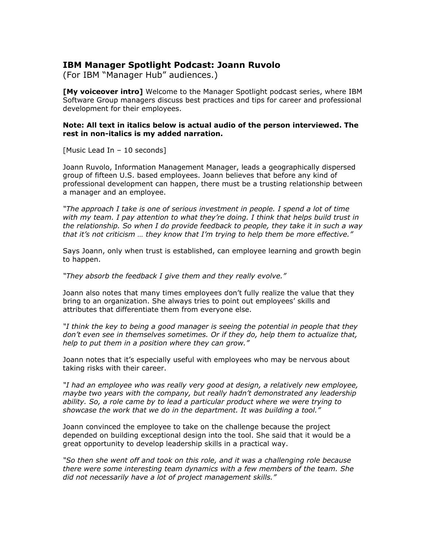## **IBM Manager Spotlight Podcast: Joann Ruvolo**

(For IBM "Manager Hub" audiences.)

**[My voiceover intro]** Welcome to the Manager Spotlight podcast series, where IBM Software Group managers discuss best practices and tips for career and professional development for their employees.

## **Note: All text in italics below is actual audio of the person interviewed. The rest in non-italics is my added narration.**

[Music Lead In – 10 seconds]

Joann Ruvolo, Information Management Manager, leads a geographically dispersed group of fifteen U.S. based employees. Joann believes that before any kind of professional development can happen, there must be a trusting relationship between a manager and an employee.

*"The approach I take is one of serious investment in people. I spend a lot of time with my team. I pay attention to what they're doing. I think that helps build trust in the relationship. So when I do provide feedback to people, they take it in such a way that it's not criticism … they know that I'm trying to help them be more effective."*

Says Joann, only when trust is established, can employee learning and growth begin to happen.

*"They absorb the feedback I give them and they really evolve."*

Joann also notes that many times employees don't fully realize the value that they bring to an organization. She always tries to point out employees' skills and attributes that differentiate them from everyone else.

*"I think the key to being a good manager is seeing the potential in people that they don't even see in themselves sometimes. Or if they do, help them to actualize that, help to put them in a position where they can grow."*

Joann notes that it's especially useful with employees who may be nervous about taking risks with their career.

*"I had an employee who was really very good at design, a relatively new employee, maybe two years with the company, but really hadn't demonstrated any leadership ability. So, a role came by to lead a particular product where we were trying to showcase the work that we do in the department. It was building a tool."*

Joann convinced the employee to take on the challenge because the project depended on building exceptional design into the tool. She said that it would be a great opportunity to develop leadership skills in a practical way.

*"So then she went off and took on this role, and it was a challenging role because there were some interesting team dynamics with a few members of the team. She did not necessarily have a lot of project management skills."*